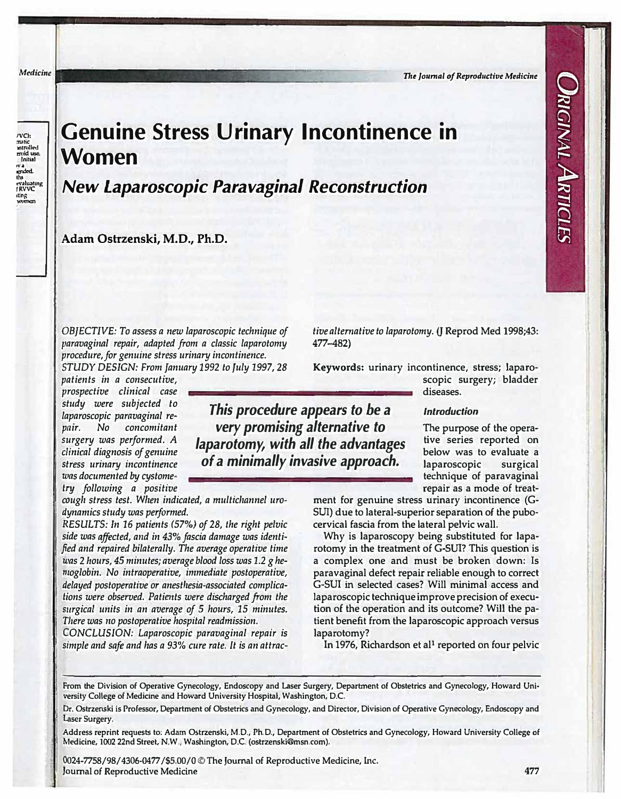JRIGINAL ARTICLES

*The loumal of Reproductive Medicine* 

# **Genuine Stress Urinary Incontinence in Women**

*New Laparoscopic Paravaginal Reconstruction* 

## **Adam Ostrzenski, M.D., Ph.D.**

*OBJECTIVE: To* **assess** *a new laparoscopic technique of paravaginal repair, adapted from a classic laparotomy procedure, for genuine* **stress** *urinary incontinence. STUDY DESIGN: From January* **1992** *to July 1997, 28* 

*patients in a consecutive, prospective clinical case* 

*study were subjected to laparoscopic paravaginal repair. No concomitant surgery was performed. A clinical diagnosis of genuine stress urinary incontinence was documented by cystometry following a positive* 

*This procedure appears to be a very promising alternative to laparotomy, with all the advantages of a minimally invasive approach.* 

*cough stress test. When indicated, a multichannel urodynamics study was performed.* 

*RESULTS: In 16 patients (57%) of* **28,** *the right pelvic side was affected, and in 43% fascia damage was identified and repaired bilaterally. The average operative time was 2 hours, 45 minutes; average blood loss was 1.2 g hemoglobin. No intraoperative, immediate postoperative, delayed postoperative* **or** *anestlzesia-associated complications were observed. Patients were discharged from the surgical units in an average of 5 hours, 15 minutes. There was no postoperative hospital readmission.* 

*CONCLUSION: Laparoscopic paravaginal repair* **is**  1 *simple and safe and* **has** *a 93% cure rate. It* **is** *an attrac-* *tive alternative to laparotomy.* (*J Reprod Med 1998;43:* **477-482)** 

**Keywords: urinary incontinence, stress; laparo-**

**scopic surgery; bladder diseases.** 

#### *Introduction*

**The purpose of the operative series reported on below was to evaluate a laparoscopic surgical technique of paravaginal repair as a mode of treat-**

**ment for genuine stress urinary incontinence (G-SUI) due to lateral-superior separation of the pubocervical fascia from the lateral pelvic wall.** 

**Why is laparoscopy being substituted for laparotomy in the treatment of G-SUI? This question is a complex one and must be broken down: Is paravaginal defect repair reliable enough to correct G-SUI in selected cases? Will minimal access and laparoscopic technique improve precision of execu• tion of the operation and its outcome? Will the patient benefit from the laparoscopic approach versus laparotomy?**

**In 1976, Richardson et al1 reported on four pelvic** 

**0024-7758/98/4306-0477/\$5.00/0 © The Journal of Reproductive Medicine, Inc. Inc. Inc. 477** 

**From the Division of Operative Gynecology, Endoscopy and Laser Surgery, Department of Obstetrics and Gynecology, Howard University College of Medicine and Howard University Hospital, Washington, D.C.** 

**Dr. Ostrzenski is Professor, Department of Obstetrics and Gynecology, and Director, Division of Operative Gynecology, Endoscopy and laser Surgery.** 

**Address reprint requests to; Adam Ostrzenski, M.D., Ph.D., Department of Obstetrics and Gynecology, Howard University College of Medicine, 1002 22nd Street, N.W., Washington, D.C.(ostrzenski@msn.com).**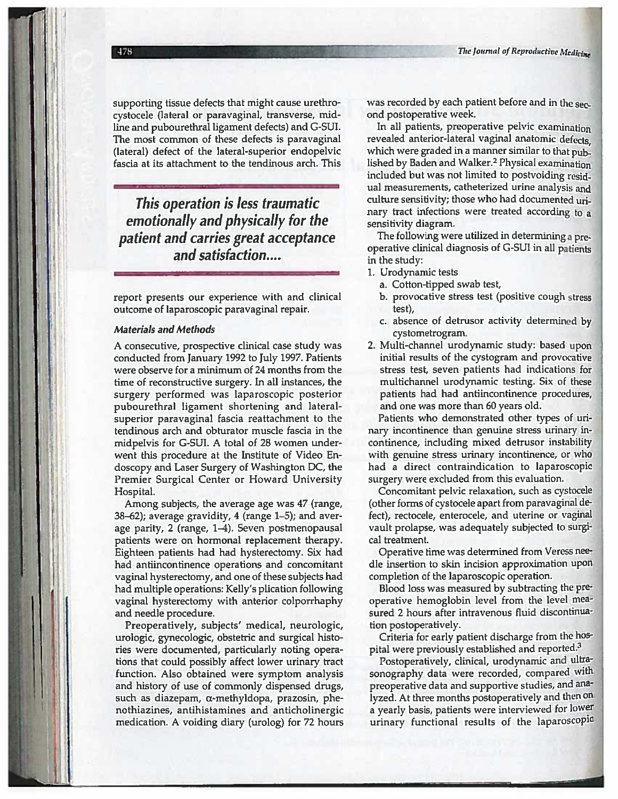supporting tissue defects that might cause urethrocystocele (lateral or paravaginal, transverse, midline and pubourethral ligament defects) and G-SUI. The most common of these defects is paravaginal (lateral) defect of the lateral-superior endopelvic fascia at its attachment to the tendinous arch. This

This operation is less traumatic emotionally and physically for the patient and carries great acceptance and satisfaction....

report presents our experience with and clinical outcome of laparoscopic paravaginal repair.

#### **Materials and Methods**

A consecutive, prospective clinical case study was conducted from January 1992 to July 1997. Patients were observe for a minimum of 24 months from the time of reconstructive surgery. In all instances, the surgery performed was laparoscopic posterior pubourethral ligament shortening and lateralsuperior paravaginal fascia reattachment to the tendinous arch and obturator muscle fascia in the midpelvis for G-SUI. A total of 28 women underwent this procedure at the Institute of Video Endoscopy and Laser Surgery of Washington DC, the Premier Surgical Center or Howard University Hospital.

Among subjects, the average age was 47 (range, 38–62); average gravidity, 4 (range 1–5); and average parity, 2 (range, 1–4). Seven postmenopausal patients were on hormonal replacement therapy. Eighteen patients had had hysterectomy. Six had had antiincontinence operations and concomitant vaginal hysterectomy, and one of these subjects had had multiple operations: Kelly's plication following vaginal hysterectomy with anterior colporrhaphy and needle procedure.

Preoperatively, subjects' medical, neurologic, urologic, gynecologic, obstetric and surgical histories were documented, particularly noting operations that could possibly affect lower urinary tract function. Also obtained were symptom analysis and history of use of commonly dispensed drugs, such as diazepam, α-methyldopa, prazosin, phenothiazines, antihistamines and anticholinergic medication. A voiding diary (urolog) for 72 hours

was recorded by each patient before and in the second postoperative week.

In all patients, preoperative pelvic examination revealed anterior-lateral vaginal anatomic defects. which were graded in a manner similar to that published by Baden and Walker.<sup>2</sup> Physical examination included but was not limited to postvoiding residual measurements, catheterized urine analysis and culture sensitivity; those who had documented urinary tract infections were treated according to a sensitivity diagram.

The following were utilized in determining a preoperative clinical diagnosis of G-SUI in all patients in the study:

- 1. Urodynamic tests
	- a. Cotton-tipped swab test,
	- b. provocative stress test (positive cough stress test),
	- c. absence of detrusor activity determined by cystometrogram.
- 2. Multi-channel urodynamic study: based upon initial results of the cystogram and provocative stress test, seven patients had indications for multichannel urodynamic testing. Six of these patients had had antiincontinence procedures, and one was more than 60 years old.

Patients who demonstrated other types of urinary incontinence than genuine stress urinary incontinence, including mixed detrusor instability with genuine stress urinary incontinence, or who had a direct contraindication to laparoscopic surgery were excluded from this evaluation.

Concomitant pelvic relaxation, such as cystocele (other forms of cystocele apart from paravaginal defect), rectocele, enterocele, and uterine or vaginal vault prolapse, was adequately subjected to surgical treatment.

Operative time was determined from Veress needle insertion to skin incision approximation upon completion of the laparoscopic operation.

Blood loss was measured by subtracting the preoperative hemoglobin level from the level measured 2 hours after intravenous fluid discontinuation postoperatively.

Criteria for early patient discharge from the hospital were previously established and reported.<sup>3</sup>

Postoperatively, clinical, urodynamic and ultrasonography data were recorded, compared with preoperative data and supportive studies, and analyzed. At three months postoperatively and then on a yearly basis, patients were interviewed for lower urinary functional results of the laparoscopic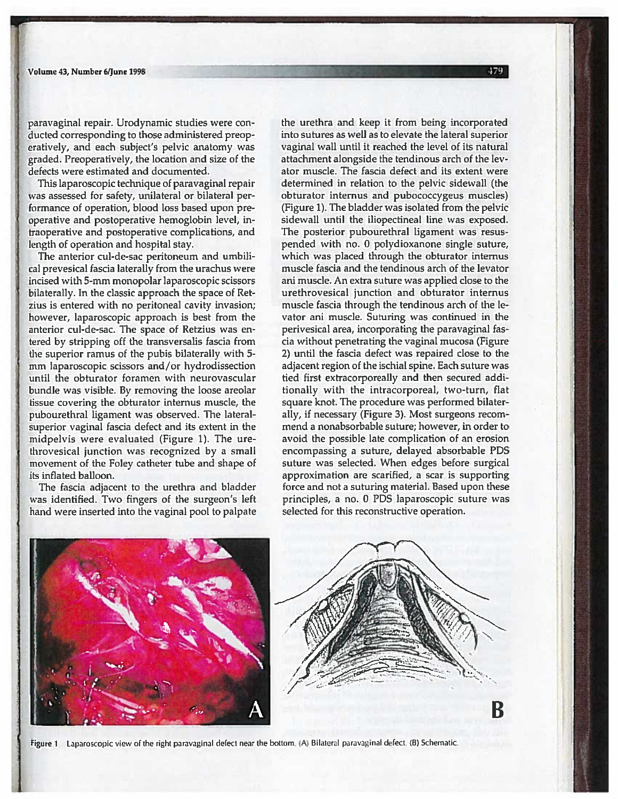paravaginal repair. Urodynamic studies were conducted corresponding to those administered preoperatively, and each subject's pelvic anatomy was graded. Preoperatively, the location and size of the defects were estimated and documented.

This laparoscopic technique of paravaginal repair was assessed for safety, unilateral or bilateral performance of operation, blood loss based upon preoperative and postoperative hemoglobin level, intraoperative and postoperative complications, and length of operation and hospital stay.

The anterior cul-de-sac peritoneum and umbilical prevesical fascia laterally from the urachus were incised with 5-mm monopolar laparoscopic scissors bilaterally. In the classic approach the space of Retzius is entered with no peritoneal cavity invasion; however, laparoscopic approach is best from the anterior cul-de-sac. The space of Retzius was entered by stripping off the transversalis fascia from the superior ramus of the pubis bilaterally with 5mm laparoscopic scissors and/or hydrodissection until the obturator foramen with neurovascular bundle was visible. By removing the loose areolar tissue covering the obturator internus muscle, the pubourethral ligament was observed. The lateralsuperior vaginal fascia defect and its extent in the midpelvis were evaluated (Figure 1). The urethrovesical junction was recognized by a small movement of the Foley catheter tube and shape of its inflated balloon.

The fascia adjacent to the urethra and bladder was identified. Two fingers of the surgeon's left hand were inserted into the vaginal pool to palpate

the urethra and keep it from being incorporated into sutures as well as to elevate the lateral superior vaginal wall until it reached the level of its natural attachment alongside the tendinous arch of the levator muscle. The fascia defect and its extent were determined in relation to the pelvic sidewall (the obturator internus and pubococcygeus muscles) (Figure 1). The bladder was isolated from the pelvic sidewall until the iliopectineal line was exposed. The posterior pubourethral ligament was resuspended with no. 0 polydioxanone single suture, which was placed through the obturator internus muscle fascia and the tendinous arch of the levator ani muscle. An extra suture was applied close to the urethrovesical junction and obturator internus muscle fascia through the tendinous arch of the levator ani muscle. Suturing was continued in the perivesical area, incorporating the paravaginal fascia without penetrating the vaginal mucosa (Figure 2) until the fascia defect was repaired close to the adjacent region of the ischial spine. Each suture was tied first extracorporeally and then secured additionally with the intracorporeal, two-turn, flat square knot. The procedure was performed bilaterally, if necessary (Figure 3). Most surgeons recom-

mend a nonabsorbable suture; however, in order to avoid the possible late complication of an erosion encompassing a suture, delayed absorbable PDS suture was selected. When edges before surgical approximation are scarified, a scar is supporting force and not a suturing material. Based upon these principles, a no. 0 PDS laparoscopic suture was selected for this reconstructive operation.





Figure 1 Laparoscopic view of the right paravaginal defect near the bottom. (A) Bilateral paravaginal defect, (B) Schematic,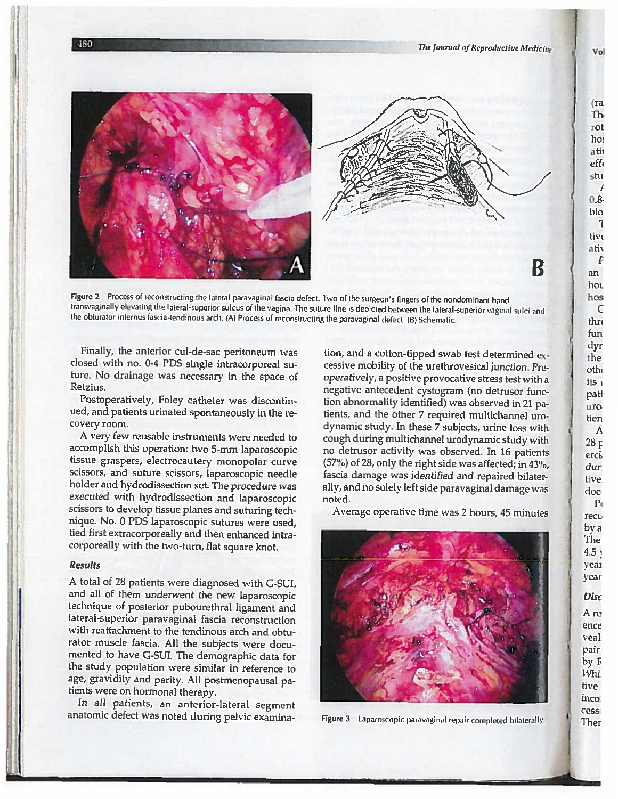ĸ





Figure 2 Process of reconstructing the lateral paravaginal fascia defect. Two of the surgeon's fingers of the nondominant hand transvaginally elevating the lateral-superior sulcus of the vagina. The suture line is depicted between the lateral-superior vaginal sulci and the obturator internus fascia-tendinous arch. (A) Process of reconstructing the paravaginal defect. (B) Schematic.

Finally, the anterior cul-de-sac peritoneum was closed with no. 0-4 PDS single intracorporeal suture. No drainage was necessary in the space of Retzius.

Postoperatively, Foley catheter was discontinued, and patients urinated spontaneously in the recovery room.

A very few reusable instruments were needed to accomplish this operation: two 5-mm laparoscopic tissue graspers, electrocautery monopolar curve scissors, and suture scissors, laparoscopic needle holder and hydrodissection set. The procedure was executed with hydrodissection and laparoscopic scissors to develop tissue planes and suturing technique. No. 0 PDS laparoscopic sutures were used, tied first extracorporeally and then enhanced intracorporeally with the two-turn, flat square knot.

#### **Results**

A total of 28 patients were diagnosed with G-SUI, and all of them underwent the new laparoscopic technique of posterior pubourethral ligament and lateral-superior paravaginal fascia reconstruction with reattachment to the tendinous arch and obturator muscle fascia. All the subjects were documented to have G-SUI. The demographic data for the study population were similar in reference to age, gravidity and parity. All postmenopausal patients were on hormonal therapy.

In all patients, an anterior-lateral segment anatomic defect was noted during pelvic examina-

tion, and a cotton-tipped swab test determined excessive mobility of the urethrovesical junction. Preoperatively, a positive provocative stress test with a negative antecedent cystogram (no detrusor function abnormality identified) was observed in 21 patients, and the other 7 required multichannel urodynamic study. In these 7 subjects, urine loss with cough during multichannel urodynamic study with no detrusor activity was observed. In 16 patients (57%) of 28, only the right side was affected; in 43%, fascia damage was identified and repaired bilaterally, and no solely left side paravaginal damage was noted.

Average operative time was 2 hours, 45 minutes



Figure 3 Laparoscopic paravaginal repair completed bilaterally.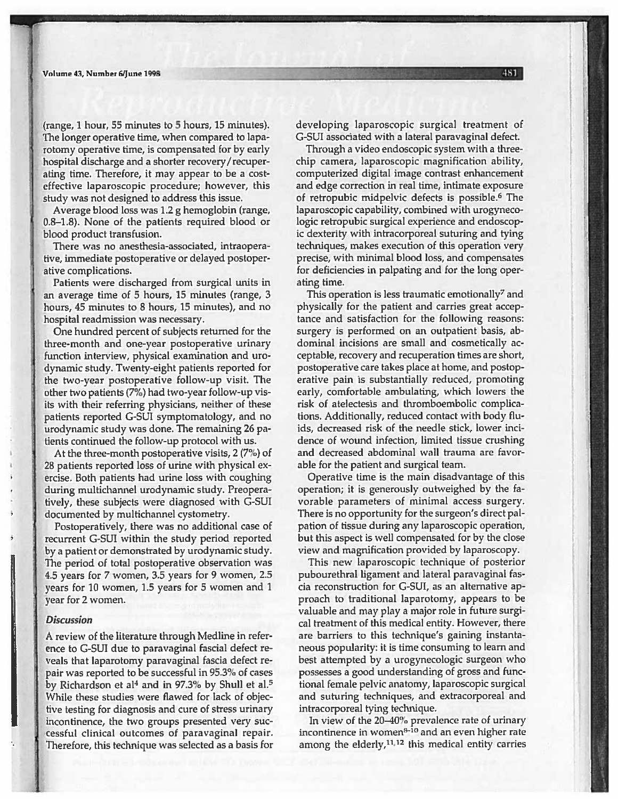(range, 1 hour, 55 minutes to 5 hours, 15 minutes). The longer operative time, when compared to laparotomy operative time, is compensated for by early hospital discharge and a shorter recovery/recuperating time. Therefore, it may appear to be a costeffective laparoscopic procedure; however, this study was not designed to address this issue.

Average blood loss was 1.2 g hemoglobin (range, 0.8–1.8). None of the patients required blood or blood product transfusion.

There was no anesthesia-associated, intraoperative, immediate postoperative or delayed postoperative complications.

Patients were discharged from surgical units in an average time of 5 hours, 15 minutes (range, 3 hours, 45 minutes to 8 hours, 15 minutes), and no hospital readmission was necessary.

One hundred percent of subjects returned for the three-month and one-year postoperative urinary function interview, physical examination and urodynamic study. Twenty-eight patients reported for the two-year postoperative follow-up visit. The other two patients (7%) had two-year follow-up visits with their referring physicians, neither of these patients reported G-SUI symptomatology, and no urodynamic study was done. The remaining 26 patients continued the follow-up protocol with us.

At the three-month postoperative visits, 2 (7%) of 28 patients reported loss of urine with physical exercise. Both patients had urine loss with coughing during multichannel urodynamic study. Preoperatively, these subjects were diagnosed with G-SUI documented by multichannel cystometry.

Postoperatively, there was no additional case of recurrent G-SUI within the study period reported by a patient or demonstrated by urodynamic study. The period of total postoperative observation was 4.5 years for 7 women, 3.5 years for 9 women, 2.5 years for 10 women, 1.5 years for 5 women and 1 year for 2 women.

#### **Discussion**

A review of the literature through Medline in reference to G-SUI due to paravaginal fascial defect reveals that laparotomy paravaginal fascia defect repair was reported to be successful in 95.3% of cases by Richardson et al<sup>4</sup> and in 97.3% by Shull et al.<sup>5</sup> While these studies were flawed for lack of objective testing for diagnosis and cure of stress urinary incontinence, the two groups presented very successful clinical outcomes of paravaginal repair. Therefore, this technique was selected as a basis for

developing laparoscopic surgical treatment of G-SUI associated with a lateral paravaginal defect.

Through a video endoscopic system with a threechip camera, laparoscopic magnification ability, computerized digital image contrast enhancement and edge correction in real time, intimate exposure of retropubic midpelvic defects is possible.<sup>6</sup> The laparoscopic capability, combined with urogynecologic retropubic surgical experience and endoscopic dexterity with intracorporeal suturing and tying techniques, makes execution of this operation very precise, with minimal blood loss, and compensates for deficiencies in palpating and for the long operating time.

This operation is less traumatic emotionally<sup>7</sup> and physically for the patient and carries great acceptance and satisfaction for the following reasons: surgery is performed on an outpatient basis, abdominal incisions are small and cosmetically acceptable, recovery and recuperation times are short, postoperative care takes place at home, and postoperative pain is substantially reduced, promoting early, comfortable ambulating, which lowers the risk of atelectesis and thromboembolic complications. Additionally, reduced contact with body fluids, decreased risk of the needle stick, lower incidence of wound infection, limited tissue crushing and decreased abdominal wall trauma are favorable for the patient and surgical team.

Operative time is the main disadvantage of this operation; it is generously outweighed by the favorable parameters of minimal access surgery. There is no opportunity for the surgeon's direct palpation of tissue during any laparoscopic operation, but this aspect is well compensated for by the close view and magnification provided by laparoscopy.

This new laparoscopic technique of posterior pubourethral ligament and lateral paravaginal fascia reconstruction for G-SUI, as an alternative approach to traditional laparotomy, appears to be valuable and may play a major role in future surgical treatment of this medical entity. However, there are barriers to this technique's gaining instantaneous popularity: it is time consuming to learn and best attempted by a urogynecologic surgeon who possesses a good understanding of gross and functional female pelvic anatomy, laparoscopic surgical and suturing techniques, and extracorporeal and intracorporeal tying technique.

In view of the 20-40% prevalence rate of urinary incontinence in women<sup>8-10</sup> and an even higher rate among the elderly, $11.12$  this medical entity carries